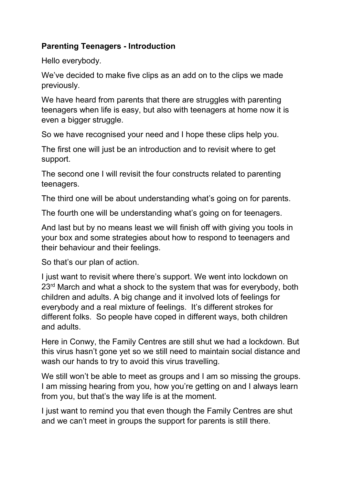## **Parenting Teenagers - Introduction**

Hello everybody.

We've decided to make five clips as an add on to the clips we made previously.

We have heard from parents that there are struggles with parenting teenagers when life is easy, but also with teenagers at home now it is even a bigger struggle.

So we have recognised your need and I hope these clips help you.

The first one will just be an introduction and to revisit where to get support.

The second one I will revisit the four constructs related to parenting teenagers.

The third one will be about understanding what's going on for parents.

The fourth one will be understanding what's going on for teenagers.

And last but by no means least we will finish off with giving you tools in your box and some strategies about how to respond to teenagers and their behaviour and their feelings.

So that's our plan of action.

I just want to revisit where there's support. We went into lockdown on 23<sup>rd</sup> March and what a shock to the system that was for everybody, both children and adults. A big change and it involved lots of feelings for everybody and a real mixture of feelings. It's different strokes for different folks. So people have coped in different ways, both children and adults.

Here in Conwy, the Family Centres are still shut we had a lockdown. But this virus hasn't gone yet so we still need to maintain social distance and wash our hands to try to avoid this virus travelling.

We still won't be able to meet as groups and I am so missing the groups. I am missing hearing from you, how you're getting on and I always learn from you, but that's the way life is at the moment.

I just want to remind you that even though the Family Centres are shut and we can't meet in groups the support for parents is still there.